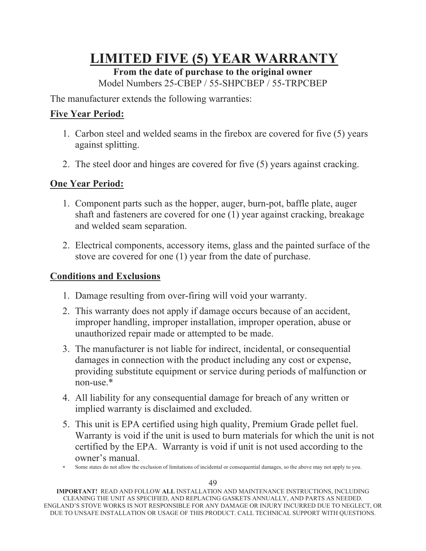# **LIMITED FIVE (5) YEAR WARRANTY**

## **From the date of purchase to the original owner**

Model Numbers 25-CBEP / 55-SHPCBEP / 55-TRPCBEP

The manufacturer extends the following warranties:

### **Five Year Period:**

- 1. Carbon steel and welded seams in the firebox are covered for five (5) years against splitting.
- 2. The steel door and hinges are covered for five (5) years against cracking.

#### **One Year Period:**

- 1. Component parts such as the hopper, auger, burn-pot, baffle plate, auger shaft and fasteners are covered for one (1) year against cracking, breakage and welded seam separation.
- 2. Electrical components, accessory items, glass and the painted surface of the stove are covered for one (1) year from the date of purchase.

#### **Conditions and Exclusions**

- 1. Damage resulting from over-firing will void your warranty.
- 2. This warranty does not apply if damage occurs because of an accident, improper handling, improper installation, improper operation, abuse or unauthorized repair made or attempted to be made.
- 3. The manufacturer is not liable for indirect, incidental, or consequential damages in connection with the product including any cost or expense, providing substitute equipment or service during periods of malfunction or non-use.\*
- 4. All liability for any consequential damage for breach of any written or implied warranty is disclaimed and excluded.
- 5. This unit is EPA certified using high quality, Premium Grade pellet fuel. Warranty is void if the unit is used to burn materials for which the unit is not certified by the EPA. Warranty is void if unit is not used according to the owner's manual.
- Some states do not allow the exclusion of limitations of incidental or consequential damages, so the above may not apply to you.

**IMPORTANT!** READ AND FOLLOW **ALL** INSTALLATION AND MAINTENANCE INSTRUCTIONS, INCLUDING CLEANING THE UNIT AS SPECIFIED, AND REPLACING GASKETS ANNUALLY, AND PARTS AS NEEDED. ENGLAND'S STOVE WORKS IS NOT RESPONSIBLE FOR ANY DAMAGE OR INJURY INCURRED DUE TO NEGLECT, OR DUE TO UNSAFE INSTALLATION OR USAGE OF THIS PRODUCT. CALL TECHNICAL SUPPORT WITH QUESTIONS.